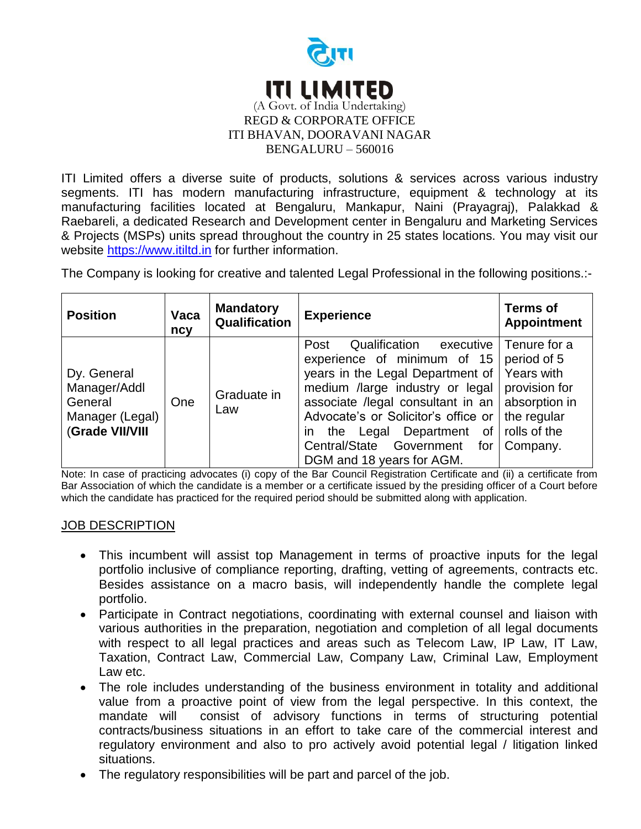

ITI Limited offers a diverse suite of products, solutions & services across various industry segments. ITI has modern manufacturing infrastructure, equipment & technology at its manufacturing facilities located at Bengaluru, Mankapur, Naini (Prayagraj), Palakkad & Raebareli, a dedicated Research and Development center in Bengaluru and Marketing Services & Projects (MSPs) units spread throughout the country in 25 states locations. You may visit our website [https://www.itiltd.in](https://www.itiltd.in/) for further information.

The Company is looking for creative and talented Legal Professional in the following positions.:-

| <b>Position</b>                                                              | Vaca<br>ncy | <b>Mandatory</b><br>Qualification | <b>Experience</b>                                                                                                                                                                                                                                                                                                            | <b>Terms of</b><br><b>Appointment</b>                                                                                  |
|------------------------------------------------------------------------------|-------------|-----------------------------------|------------------------------------------------------------------------------------------------------------------------------------------------------------------------------------------------------------------------------------------------------------------------------------------------------------------------------|------------------------------------------------------------------------------------------------------------------------|
| Dy. General<br>Manager/Addl<br>General<br>Manager (Legal)<br>(Grade VII/VIII | One         | Graduate in<br>Law                | Qualification<br>executive<br>Post<br>experience of minimum of 15<br>years in the Legal Department of<br>medium /large industry or legal<br>associate /legal consultant in an<br>Advocate's or Solicitor's office or<br>the Legal Department<br>0f<br>in.<br>Central/State<br>Government<br>for<br>DGM and 18 years for AGM. | Tenure for a<br>period of 5<br>Years with<br>provision for<br>absorption in<br>the regular<br>rolls of the<br>Company. |

Note: In case of practicing advocates (i) copy of the Bar Council Registration Certificate and (ii) a certificate from Bar Association of which the candidate is a member or a certificate issued by the presiding officer of a Court before which the candidate has practiced for the required period should be submitted along with application.

## JOB DESCRIPTION

- This incumbent will assist top Management in terms of proactive inputs for the legal portfolio inclusive of compliance reporting, drafting, vetting of agreements, contracts etc. Besides assistance on a macro basis, will independently handle the complete legal portfolio.
- Participate in Contract negotiations, coordinating with external counsel and liaison with various authorities in the preparation, negotiation and completion of all legal documents with respect to all legal practices and areas such as Telecom Law, IP Law, IT Law, Taxation, Contract Law, Commercial Law, Company Law, Criminal Law, Employment Law etc.
- The role includes understanding of the business environment in totality and additional value from a proactive point of view from the legal perspective. In this context, the mandate will consist of advisory functions in terms of structuring potential contracts/business situations in an effort to take care of the commercial interest and regulatory environment and also to pro actively avoid potential legal / litigation linked situations.
- The regulatory responsibilities will be part and parcel of the job.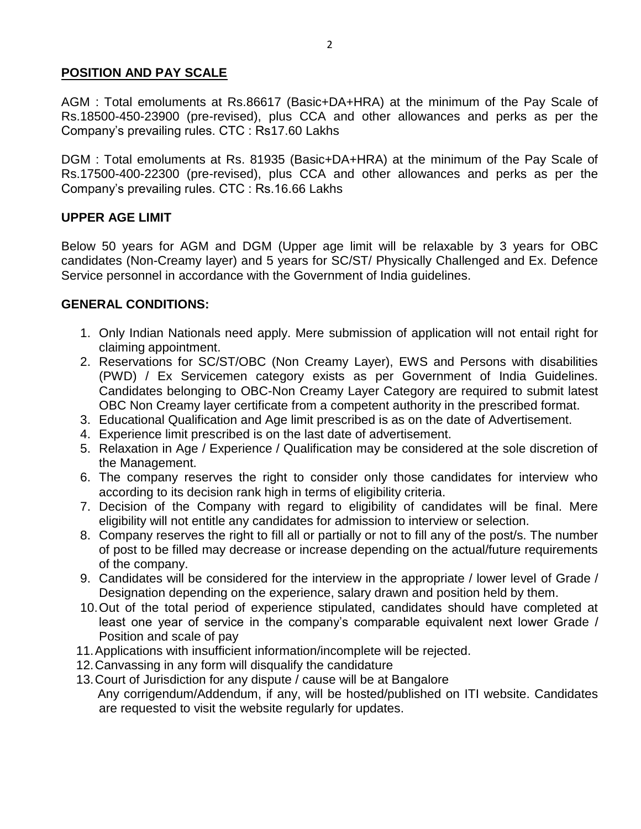## **POSITION AND PAY SCALE**

AGM : Total emoluments at Rs.86617 (Basic+DA+HRA) at the minimum of the Pay Scale of Rs.18500-450-23900 (pre-revised), plus CCA and other allowances and perks as per the Company's prevailing rules. CTC : Rs17.60 Lakhs

DGM : Total emoluments at Rs. 81935 (Basic+DA+HRA) at the minimum of the Pay Scale of Rs.17500-400-22300 (pre-revised), plus CCA and other allowances and perks as per the Company's prevailing rules. CTC : Rs.16.66 Lakhs

# **UPPER AGE LIMIT**

Below 50 years for AGM and DGM (Upper age limit will be relaxable by 3 years for OBC candidates (Non-Creamy layer) and 5 years for SC/ST/ Physically Challenged and Ex. Defence Service personnel in accordance with the Government of India guidelines.

# **GENERAL CONDITIONS:**

- 1. Only Indian Nationals need apply. Mere submission of application will not entail right for claiming appointment.
- 2. Reservations for SC/ST/OBC (Non Creamy Layer), EWS and Persons with disabilities (PWD) / Ex Servicemen category exists as per Government of India Guidelines. Candidates belonging to OBC-Non Creamy Layer Category are required to submit latest OBC Non Creamy layer certificate from a competent authority in the prescribed format.
- 3. Educational Qualification and Age limit prescribed is as on the date of Advertisement.
- 4. Experience limit prescribed is on the last date of advertisement.
- 5. Relaxation in Age / Experience / Qualification may be considered at the sole discretion of the Management.
- 6. The company reserves the right to consider only those candidates for interview who according to its decision rank high in terms of eligibility criteria.
- 7. Decision of the Company with regard to eligibility of candidates will be final. Mere eligibility will not entitle any candidates for admission to interview or selection.
- 8. Company reserves the right to fill all or partially or not to fill any of the post/s. The number of post to be filled may decrease or increase depending on the actual/future requirements of the company.
- 9. Candidates will be considered for the interview in the appropriate / lower level of Grade / Designation depending on the experience, salary drawn and position held by them.
- 10.Out of the total period of experience stipulated, candidates should have completed at least one year of service in the company's comparable equivalent next lower Grade / Position and scale of pay
- 11.Applications with insufficient information/incomplete will be rejected.
- 12.Canvassing in any form will disqualify the candidature
- 13.Court of Jurisdiction for any dispute / cause will be at Bangalore Any corrigendum/Addendum, if any, will be hosted/published on ITI website. Candidates are requested to visit the website regularly for updates.